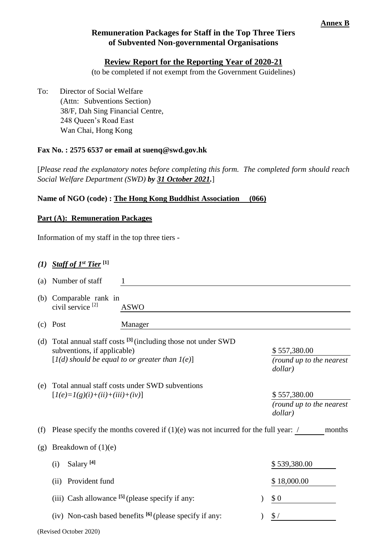# **Remuneration Packages for Staff in the Top Three Tiers of Subvented Non-governmental Organisations**

### **Review Report for the Reporting Year of 2020-21**

(to be completed if not exempt from the Government Guidelines)

To: Director of Social Welfare (Attn: Subventions Section) 38/F, Dah Sing Financial Centre, 248 Queen's Road East Wan Chai, Hong Kong

#### **Fax No. : 2575 6537 or email at suenq@swd.gov.hk**

[*Please read the explanatory notes before completing this form. The completed form should reach Social Welfare Department (SWD) by 31 October 2021.*]

#### **Name of NGO (code) : The Hong Kong Buddhist Association (066)**

#### **Part (A): Remuneration Packages**

Information of my staff in the top three tiers -

# *(1) Staff of 1st Tier* **[1]**

| (a) | Number of staff                                                                                                                                            |                                                          |  |                                                     |  |  |
|-----|------------------------------------------------------------------------------------------------------------------------------------------------------------|----------------------------------------------------------|--|-----------------------------------------------------|--|--|
| (b) | Comparable rank in<br>civil service <sup>[2]</sup>                                                                                                         | <b>ASWO</b>                                              |  |                                                     |  |  |
| (c) | Post                                                                                                                                                       | Manager                                                  |  |                                                     |  |  |
|     | (d) Total annual staff costs $^{[3]}$ (including those not under SWD<br>subventions, if applicable)<br>$[I(d)$ should be equal to or greater than $I(e)$ ] |                                                          |  | \$557,380.00<br>(round up to the nearest<br>dollar) |  |  |
| (e) | Total annual staff costs under SWD subventions<br>$[I(e)=I(g)(i)+(ii)+(iii)+(iv)]$                                                                         |                                                          |  | \$557,380.00<br>(round up to the nearest<br>dollar) |  |  |
| (f) | Please specify the months covered if $(1)(e)$ was not incurred for the full year: /<br>months                                                              |                                                          |  |                                                     |  |  |
| (g) | Breakdown of $(1)(e)$                                                                                                                                      |                                                          |  |                                                     |  |  |
|     | Salary <sup>[4]</sup><br>(i)                                                                                                                               |                                                          |  | \$539,380.00                                        |  |  |
|     | Provident fund<br>(ii)                                                                                                                                     |                                                          |  | \$18,000.00                                         |  |  |
|     |                                                                                                                                                            | (iii) Cash allowance $[5]$ (please specify if any:       |  | \$0                                                 |  |  |
|     |                                                                                                                                                            | (iv) Non-cash based benefits [6] (please specify if any: |  | \$/                                                 |  |  |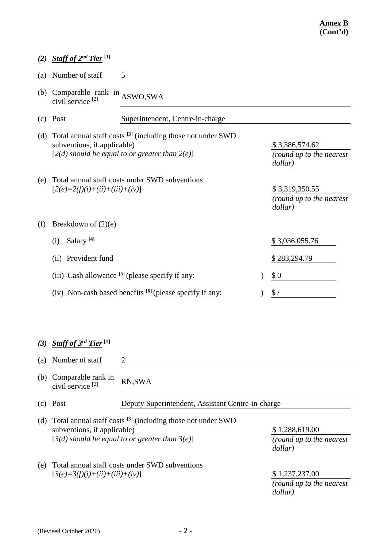|     | (2) Staff of $2^{nd}$ Tier <sup>[1]</sup>                                                                                                                                                 |                                                   |  |                                                       |  |  |
|-----|-------------------------------------------------------------------------------------------------------------------------------------------------------------------------------------------|---------------------------------------------------|--|-------------------------------------------------------|--|--|
| (a) | Number of staff<br>5                                                                                                                                                                      |                                                   |  |                                                       |  |  |
| (b) | Comparable rank in $ASWO, SWA$<br>civil service <sup>[2]</sup>                                                                                                                            |                                                   |  |                                                       |  |  |
|     | $(c)$ Post                                                                                                                                                                                | Superintendent, Centre-in-charge                  |  |                                                       |  |  |
| (d) | Total annual staff costs <sup>[3]</sup> (including those not under SWD<br>subventions, if applicable)<br>$[2(d)$ should be equal to or greater than $2(e)$ ]                              |                                                   |  | \$3,386,574.62<br>(round up to the nearest<br>dollar) |  |  |
| (e) | $[2(e)=2(f)(i)+(ii)+(iii)+(iv)]$                                                                                                                                                          | Total annual staff costs under SWD subventions    |  | \$3,319,350.55<br>(round up to the nearest<br>dollar) |  |  |
| (f) | Breakdown of $(2)(e)$                                                                                                                                                                     |                                                   |  |                                                       |  |  |
|     | Salary <sup>[4]</sup><br>(i)                                                                                                                                                              |                                                   |  | \$3,036,055.76                                        |  |  |
|     | Provident fund<br>(ii)                                                                                                                                                                    |                                                   |  | \$283,294.79                                          |  |  |
|     | (iii) Cash allowance $[5]$ (please specify if any:                                                                                                                                        |                                                   |  | \$0                                                   |  |  |
|     | (iv) Non-cash based benefits $[6]$ (please specify if any:                                                                                                                                |                                                   |  | $\frac{1}{2}$                                         |  |  |
|     |                                                                                                                                                                                           |                                                   |  |                                                       |  |  |
| (3) | Staff of 3rd Tier <sup>[1]</sup>                                                                                                                                                          |                                                   |  |                                                       |  |  |
| (a) | Number of staff                                                                                                                                                                           | $\overline{2}$                                    |  |                                                       |  |  |
| (b) | Comparable rank in<br>civil service <sup>[2]</sup>                                                                                                                                        | RN, SWA                                           |  |                                                       |  |  |
| (c) | Post                                                                                                                                                                                      | Deputy Superintendent, Assistant Centre-in-charge |  |                                                       |  |  |
| (d) | Total annual staff costs <sup>[3]</sup> (including those not under SWD<br>subventions, if applicable)<br>\$1,288,619.00<br>$[3(d)$ should be equal to or greater than $3(e)$ ]<br>dollar) |                                                   |  | (round up to the nearest                              |  |  |
| (e) | Total annual staff costs under SWD subventions<br>\$1,237,237.00<br>$[3(e)=3(f)(i)+(ii)+(iii)+(iv)]$<br>(round up to the nearest<br>dollar)                                               |                                                   |  |                                                       |  |  |